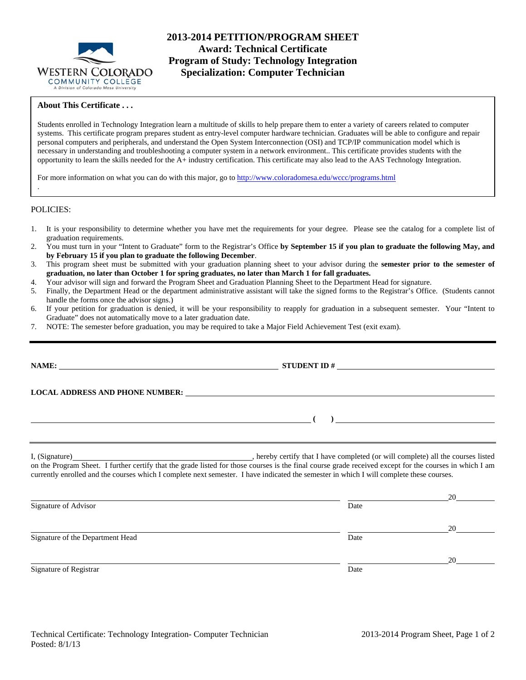

# **2013-2014 PETITION/PROGRAM SHEET Award: Technical Certificate Program of Study: Technology Integration Specialization: Computer Technician**

# **About This Certificate . . .**

Students enrolled in Technology Integration learn a multitude of skills to help prepare them to enter a variety of careers related to computer systems. This certificate program prepares student as entry-level computer hardware technician. Graduates will be able to configure and repair personal computers and peripherals, and understand the Open System Interconnection (OSI) and TCP/IP communication model which is necessary in understanding and troubleshooting a computer system in a network environment.. This certificate provides students with the opportunity to learn the skills needed for the A+ industry certification. This certificate may also lead to the AAS Technology Integration.

For more information on what you can do with this major, go to http://www.coloradomesa.edu/wccc/programs.html

## POLICIES:

.

- 1. It is your responsibility to determine whether you have met the requirements for your degree. Please see the catalog for a complete list of graduation requirements.
- 2. You must turn in your "Intent to Graduate" form to the Registrar's Office **by September 15 if you plan to graduate the following May, and by February 15 if you plan to graduate the following December**.
- 3. This program sheet must be submitted with your graduation planning sheet to your advisor during the **semester prior to the semester of graduation, no later than October 1 for spring graduates, no later than March 1 for fall graduates.**
- 4. Your advisor will sign and forward the Program Sheet and Graduation Planning Sheet to the Department Head for signature.
- 5. Finally, the Department Head or the department administrative assistant will take the signed forms to the Registrar's Office. (Students cannot handle the forms once the advisor signs.)
- 6. If your petition for graduation is denied, it will be your responsibility to reapply for graduation in a subsequent semester. Your "Intent to Graduate" does not automatically move to a later graduation date.
- 7. NOTE: The semester before graduation, you may be required to take a Major Field Achievement Test (exit exam).

|                                  | LOCAL ADDRESS AND PHONE NUMBER: University of the contract of the contract of the contract of the contract of the contract of the contract of the contract of the contract of the contract of the contract of the contract of                                                                                                                                                     |  |
|----------------------------------|-----------------------------------------------------------------------------------------------------------------------------------------------------------------------------------------------------------------------------------------------------------------------------------------------------------------------------------------------------------------------------------|--|
|                                  | $\begin{picture}(150,10) \put(0,0){\dashbox{0.5}(10,0){ }} \put(150,0){\circle{10}} \put(150,0){\circle{10}} \put(150,0){\circle{10}} \put(150,0){\circle{10}} \put(150,0){\circle{10}} \put(150,0){\circle{10}} \put(150,0){\circle{10}} \put(150,0){\circle{10}} \put(150,0){\circle{10}} \put(150,0){\circle{10}} \put(150,0){\circle{10}} \put(150,0){\circle{10}} \put(150,$ |  |
|                                  | on the Program Sheet. I further certify that the grade listed for those courses is the final course grade received except for the courses in which I am<br>currently enrolled and the courses which I complete next semester. I have indicated the semester in which I will complete these courses.                                                                               |  |
| Signature of Advisor             | Date                                                                                                                                                                                                                                                                                                                                                                              |  |
| Signature of the Department Head | Date                                                                                                                                                                                                                                                                                                                                                                              |  |

Signature of Registrar Date Date of Registrar Date Date of Registrar Date Date of Registrar Date of Registrar Date of  $\sim$ 

20